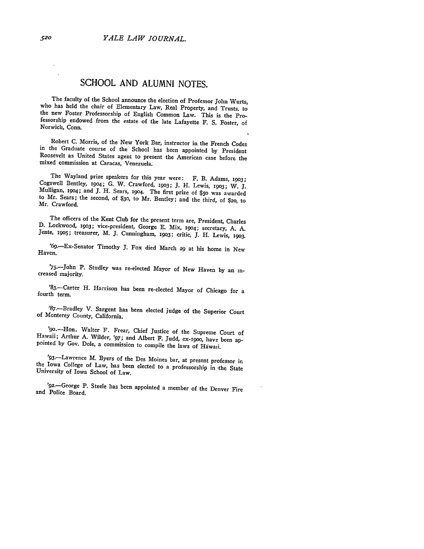## **SCHOOL AND ALUMNI NOTES.**

The faculty of the School announce the election of Professor John Wurts,<br>who has held the chair of Elementary Law, Real Property, and Trusts, to<br>the new Foster Professorship of English Common Law. This is the Pro-<br>fessorsh Norwich, Conn.

Robert C. Morris, of the New York Bar, instructor in the French Codes in the Graduate course of the School has been appointed **by** President Roosevelt as United States agent to present the American case before the mixed commission at Caracas, Venezuela.

The Wayland prize speakers for this year were: F. B. Adams, 1903;<br>Cogswell Bentley, 1904; G. W. Crawford, 1903; J. H. Lewis, 1903; W. J.<br>Mulligan, 1904; and J. H. Sears, 1904. The first prize of \$50 was awarded<br>to Mr. Sear Mr. Crawford.

The officers of the Kent Club for the present term are, President, Charles<br>D. Lockwood, 1903; vice-president, George E. Mix, 1904; secretary, A. A.<br>Jente, 1905; treasurer, M. J. Cunningham, 1903; critic, J. H. Lewis, 1903.

' 6 9-Ex-Senator Timothy **J.** Fox died March **29** at his home in New Haven.

'75-John P. Studley was re-elected Mayor of New Haven by an increased majority.

'83.-Carter H. Harrison has been re-elected Mayor of Chicago for a fourth term.

'87.-Bradley V. Sargent has been elected judge of the Superior Court of Monterey County, California.

'90.-Hon. Walter F. Frear, Chief Justice of the Supreme Court of Hawaii; Arthur A. Wilder, '97; and Albert F. Judd, ex-i9oo, have been ap- pointed by Gov. Dole, a commission to compile the laws of Hdwaii.

'93.-Lawrence M. Byers of the Des Moines bar, at present professor in the Iowa College of Law, has been elected to a professorship in -the State University of Iowa School of Law.

'92.-George P. Steele has been appointed a member of the Denver Fire and Police Board.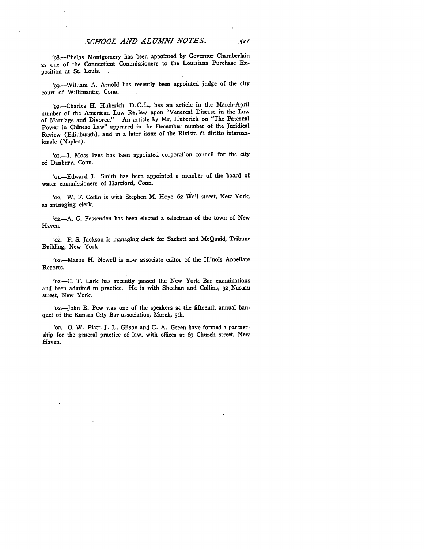'98.-Phelps Montgomery has been appointed **by** Governor Chamberlain as one of the Connecticut Commissioners to the Louisiana Purchase **Ex**position at St. Louis.

'99.--William A. Arnold has recently been appointed judge of the city court of Willimantic, Conn.

'99.-Charles H. Huberich, D.C.L., has an article in the March-April number of the American Law Review upon "Venereal Disease in the Law of Marriage and Divorce." An article by Mr. Huberich on "The Paternal Power in Chinese Law" appeared in the December number of the Juridical Review (Edinburgh), and in a later issue of the Rivista di diritto internazionale (Naples).

'oi.-J. Moss Ives has been appointed corporation council for the city of Danbury, Conn.

'oi.Edward L. Smith has been appointed a member of the board of water commissioners of Hartford, Conn.

'02.-W. F. Coffin is with Stephen M. Hoye, **62** Wall street, New York, as managing clerk.

'o2.-A. G. Fessenden has been elected a selectman of the town of New Haven.

'o2 .F. S. Jackson is managing clerk for Sackett and McQuaid, Tribune Building, New York

'o2.-Mason H. Newell is now associate editor of the Illinois Appellate Reports.

'o2.-C. T. Lark has recently passed the New York Bar examinations and been admited to practice. He is with Sheehan and Collins, 32.Nassau street, New York.

'02.-John B. Pew was one of the speakers at the fifteenth annual baniquet of the Kansas City Bar association, March, 5th.

'02.--O. W. Platt, J. L. Gilson and C. A. Green have formed a partnership for the general practice of law, with offices at **69** Church street, New Haven.